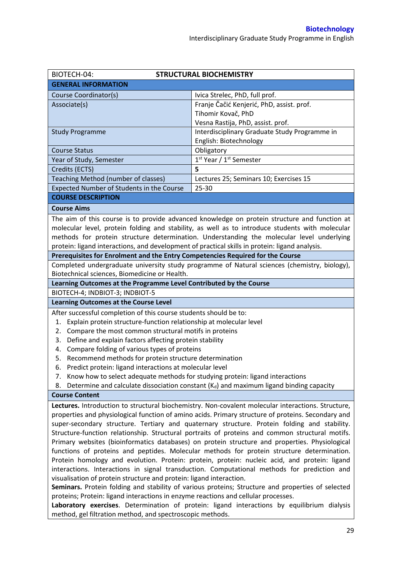| BIOTECH-04:<br><b>STRUCTURAL BIOCHEMISTRY</b>                                                                                                                                                      |                                                                                                    |  |  |
|----------------------------------------------------------------------------------------------------------------------------------------------------------------------------------------------------|----------------------------------------------------------------------------------------------------|--|--|
| <b>GENERAL INFORMATION</b>                                                                                                                                                                         |                                                                                                    |  |  |
| Course Coordinator(s)                                                                                                                                                                              | Ivica Strelec, PhD, full prof.                                                                     |  |  |
| Associate(s)                                                                                                                                                                                       | Franje Čačić Kenjerić, PhD, assist. prof.                                                          |  |  |
|                                                                                                                                                                                                    | Tihomir Kovač, PhD                                                                                 |  |  |
|                                                                                                                                                                                                    | Vesna Rastija, PhD, assist. prof.                                                                  |  |  |
| <b>Study Programme</b>                                                                                                                                                                             | Interdisciplinary Graduate Study Programme in                                                      |  |  |
|                                                                                                                                                                                                    | English: Biotechnology                                                                             |  |  |
| <b>Course Status</b>                                                                                                                                                                               | Obligatory                                                                                         |  |  |
| Year of Study, Semester                                                                                                                                                                            | 1 <sup>st</sup> Year / 1 <sup>st</sup> Semester                                                    |  |  |
| Credits (ECTS)                                                                                                                                                                                     | 5                                                                                                  |  |  |
| Teaching Method (number of classes)                                                                                                                                                                | Lectures 25; Seminars 10; Exercises 15                                                             |  |  |
| Expected Number of Students in the Course                                                                                                                                                          | 25-30                                                                                              |  |  |
| <b>COURSE DESCRIPTION</b>                                                                                                                                                                          |                                                                                                    |  |  |
| <b>Course Aims</b>                                                                                                                                                                                 |                                                                                                    |  |  |
|                                                                                                                                                                                                    | The aim of this course is to provide advanced knowledge on protein structure and function at       |  |  |
|                                                                                                                                                                                                    | molecular level, protein folding and stability, as well as to introduce students with molecular    |  |  |
|                                                                                                                                                                                                    | methods for protein structure determination. Understanding the molecular level underlying          |  |  |
| protein: ligand interactions, and development of practical skills in protein: ligand analysis.                                                                                                     |                                                                                                    |  |  |
| Prerequisites for Enrolment and the Entry Competencies Required for the Course                                                                                                                     |                                                                                                    |  |  |
|                                                                                                                                                                                                    | Completed undergraduate university study programme of Natural sciences (chemistry, biology),       |  |  |
| Biotechnical sciences, Biomedicine or Health.                                                                                                                                                      |                                                                                                    |  |  |
| Learning Outcomes at the Programme Level Contributed by the Course                                                                                                                                 |                                                                                                    |  |  |
| BIOTECH-4; INDBIOT-3; INDBIOT-5                                                                                                                                                                    |                                                                                                    |  |  |
| <b>Learning Outcomes at the Course Level</b>                                                                                                                                                       |                                                                                                    |  |  |
| After successful completion of this course students should be to:                                                                                                                                  |                                                                                                    |  |  |
| Explain protein structure-function relationship at molecular level<br>1.                                                                                                                           |                                                                                                    |  |  |
| Compare the most common structural motifs in proteins<br>2.                                                                                                                                        |                                                                                                    |  |  |
| Define and explain factors affecting protein stability<br>3.                                                                                                                                       |                                                                                                    |  |  |
| Compare folding of various types of proteins<br>4.                                                                                                                                                 |                                                                                                    |  |  |
| Recommend methods for protein structure determination<br>5.                                                                                                                                        |                                                                                                    |  |  |
| 6. Predict protein: ligand interactions at molecular level<br>7. Know how to select adequate methods for studying protein: ligand interactions                                                     |                                                                                                    |  |  |
| 8.                                                                                                                                                                                                 | Determine and calculate dissociation constant $(K_d)$ and maximum ligand binding capacity          |  |  |
| <b>Course Content</b>                                                                                                                                                                              |                                                                                                    |  |  |
|                                                                                                                                                                                                    | Lectures. Introduction to structural biochemistry. Non-covalent molecular interactions. Structure, |  |  |
|                                                                                                                                                                                                    |                                                                                                    |  |  |
| properties and physiological function of amino acids. Primary structure of proteins. Secondary and<br>super-secondary structure. Tertiary and quaternary structure. Protein folding and stability. |                                                                                                    |  |  |
| Structure-function relationship. Structural portraits of proteins and common structural motifs.                                                                                                    |                                                                                                    |  |  |
| Primary websites (bioinformatics databases) on protein structure and properties. Physiological                                                                                                     |                                                                                                    |  |  |
| functions of proteins and peptides. Molecular methods for protein structure determination.                                                                                                         |                                                                                                    |  |  |
| Protein homology and evolution. Protein: protein, protein: nucleic acid, and protein: ligand                                                                                                       |                                                                                                    |  |  |
| interactions. Interactions in signal transduction. Computational methods for prediction and                                                                                                        |                                                                                                    |  |  |
| visualisation of protein structure and protein: ligand interaction.                                                                                                                                |                                                                                                    |  |  |
| Seminars. Protein folding and stability of various proteins; Structure and properties of selected                                                                                                  |                                                                                                    |  |  |
| proteins; Protein: ligand interactions in enzyme reactions and cellular processes.                                                                                                                 |                                                                                                    |  |  |
|                                                                                                                                                                                                    |                                                                                                    |  |  |

**Laboratory exercises**. Determination of protein: ligand interactions by equilibrium dialysis method, gel filtration method, and spectroscopic methods.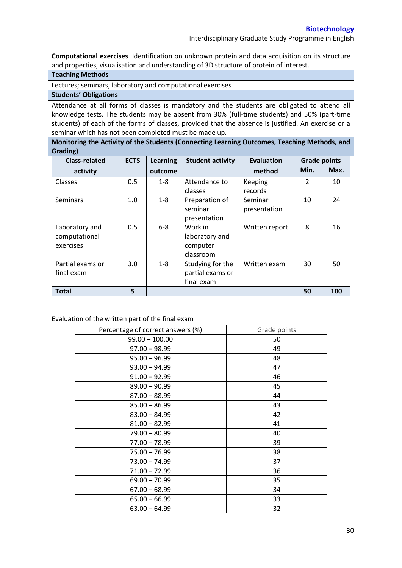**Computational exercises**. Identification on unknown protein and data acquisition on its structure and properties, visualisation and understanding of 3D structure of protein of interest.

#### **Teaching Methods**

Lectures; seminars; laboratory and computational exercises

### **Students' Obligations**

Attendance at all forms of classes is mandatory and the students are obligated to attend all knowledge tests. The students may be absent from 30% (full-time students) and 50% (part-time students) of each of the forms of classes, provided that the absence is justified. An exercise or a seminar which has not been completed must be made up.

**Monitoring the Activity of the Students (Connecting Learning Outcomes, Teaching Methods, and Grading)**

| <b>Class-related</b>                         | <b>ECTS</b> | <b>Learning</b> | <b>Student activity</b>                            | <b>Evaluation</b>       | <b>Grade points</b> |      |
|----------------------------------------------|-------------|-----------------|----------------------------------------------------|-------------------------|---------------------|------|
| activity                                     |             | outcome         |                                                    | method                  | Min.                | Max. |
| Classes                                      | 0.5         | $1 - 8$         | Attendance to<br>classes                           | Keeping<br>records      | $\mathfrak{p}$      | 10   |
| <b>Seminars</b>                              | 1.0         | $1 - 8$         | Preparation of<br>seminar<br>presentation          | Seminar<br>presentation | 10                  | 24   |
| Laboratory and<br>computational<br>exercises | 0.5         | $6 - 8$         | Work in<br>laboratory and<br>computer<br>classroom | Written report          | 8                   | 16   |
| Partial exams or<br>final exam               | 3.0         | $1 - 8$         | Studying for the<br>partial exams or<br>final exam | Written exam            | 30                  | 50   |
| <b>Total</b>                                 | 5           |                 |                                                    |                         | 50                  | 100  |

Evaluation of the written part of the final exam

| Percentage of correct answers (%) | Grade points |
|-----------------------------------|--------------|
| $99.00 - 100.00$                  | 50           |
| $97.00 - 98.99$                   | 49           |
| $95.00 - 96.99$                   | 48           |
| $93.00 - 94.99$                   | 47           |
| $91.00 - 92.99$                   | 46           |
| $89.00 - 90.99$                   | 45           |
| $87.00 - 88.99$                   | 44           |
| $85.00 - 86.99$                   | 43           |
| $83.00 - 84.99$                   | 42           |
| $81.00 - 82.99$                   | 41           |
| $79.00 - 80.99$                   | 40           |
| $77.00 - 78.99$                   | 39           |
| $75.00 - 76.99$                   | 38           |
| $73.00 - 74.99$                   | 37           |
| $71.00 - 72.99$                   | 36           |
| $69.00 - 70.99$                   | 35           |
| $67.00 - 68.99$                   | 34           |
| $65.00 - 66.99$                   | 33           |
| $63.00 - 64.99$                   | 32           |
|                                   |              |